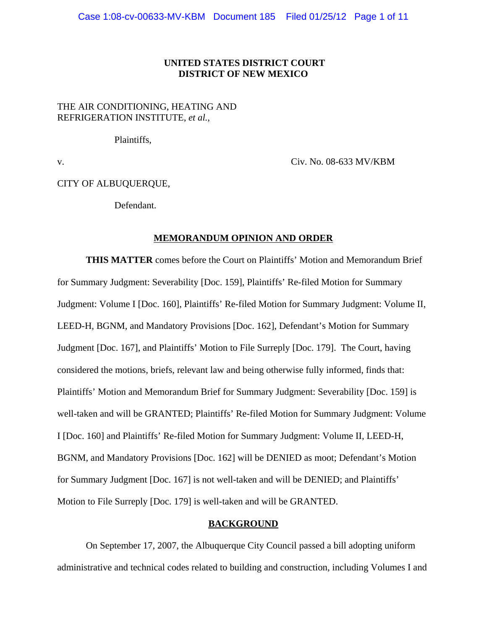# **UNITED STATES DISTRICT COURT DISTRICT OF NEW MEXICO**

# THE AIR CONDITIONING, HEATING AND REFRIGERATION INSTITUTE, *et al.*,

Plaintiffs,

v. Civ. No. 08-633 MV/KBM

CITY OF ALBUQUERQUE,

Defendant.

#### **MEMORANDUM OPINION AND ORDER**

**THIS MATTER** comes before the Court on Plaintiffs' Motion and Memorandum Brief for Summary Judgment: Severability [Doc. 159], Plaintiffs' Re-filed Motion for Summary Judgment: Volume I [Doc. 160], Plaintiffs' Re-filed Motion for Summary Judgment: Volume II, LEED-H, BGNM, and Mandatory Provisions [Doc. 162], Defendant's Motion for Summary Judgment [Doc. 167], and Plaintiffs' Motion to File Surreply [Doc. 179]. The Court, having considered the motions, briefs, relevant law and being otherwise fully informed, finds that: Plaintiffs' Motion and Memorandum Brief for Summary Judgment: Severability [Doc. 159] is well-taken and will be GRANTED; Plaintiffs' Re-filed Motion for Summary Judgment: Volume I [Doc. 160] and Plaintiffs' Re-filed Motion for Summary Judgment: Volume II, LEED-H, BGNM, and Mandatory Provisions [Doc. 162] will be DENIED as moot; Defendant's Motion for Summary Judgment [Doc. 167] is not well-taken and will be DENIED; and Plaintiffs' Motion to File Surreply [Doc. 179] is well-taken and will be GRANTED.

### **BACKGROUND**

On September 17, 2007, the Albuquerque City Council passed a bill adopting uniform administrative and technical codes related to building and construction, including Volumes I and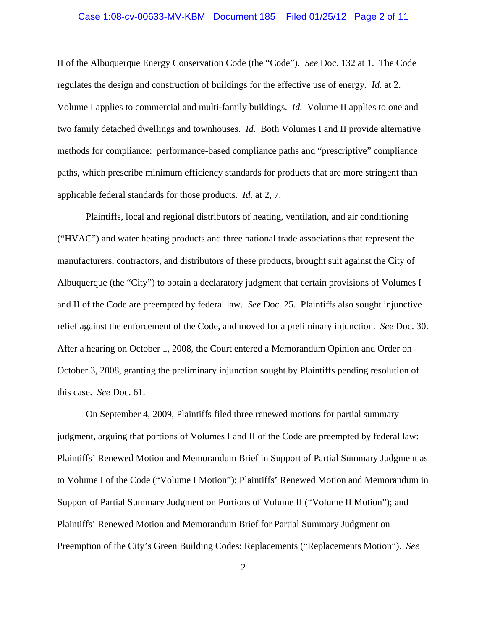### Case 1:08-cv-00633-MV-KBM Document 185 Filed 01/25/12 Page 2 of 11

II of the Albuquerque Energy Conservation Code (the "Code"). *See* Doc. 132 at 1. The Code regulates the design and construction of buildings for the effective use of energy. *Id.* at 2. Volume I applies to commercial and multi-family buildings. *Id.* Volume II applies to one and two family detached dwellings and townhouses. *Id.* Both Volumes I and II provide alternative methods for compliance: performance-based compliance paths and "prescriptive" compliance paths, which prescribe minimum efficiency standards for products that are more stringent than applicable federal standards for those products. *Id.* at 2, 7.

Plaintiffs, local and regional distributors of heating, ventilation, and air conditioning ("HVAC") and water heating products and three national trade associations that represent the manufacturers, contractors, and distributors of these products, brought suit against the City of Albuquerque (the "City") to obtain a declaratory judgment that certain provisions of Volumes I and II of the Code are preempted by federal law. *See* Doc. 25. Plaintiffs also sought injunctive relief against the enforcement of the Code, and moved for a preliminary injunction. *See* Doc. 30. After a hearing on October 1, 2008, the Court entered a Memorandum Opinion and Order on October 3, 2008, granting the preliminary injunction sought by Plaintiffs pending resolution of this case. *See* Doc. 61.

On September 4, 2009, Plaintiffs filed three renewed motions for partial summary judgment, arguing that portions of Volumes I and II of the Code are preempted by federal law: Plaintiffs' Renewed Motion and Memorandum Brief in Support of Partial Summary Judgment as to Volume I of the Code ("Volume I Motion"); Plaintiffs' Renewed Motion and Memorandum in Support of Partial Summary Judgment on Portions of Volume II ("Volume II Motion"); and Plaintiffs' Renewed Motion and Memorandum Brief for Partial Summary Judgment on Preemption of the City's Green Building Codes: Replacements ("Replacements Motion"). *See*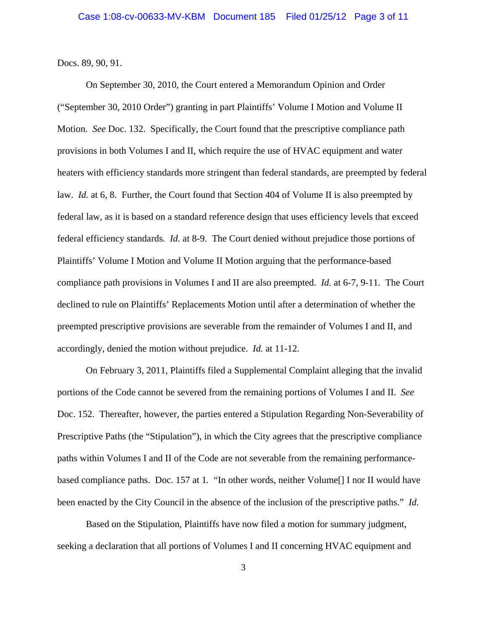Docs. 89, 90, 91.

On September 30, 2010, the Court entered a Memorandum Opinion and Order ("September 30, 2010 Order") granting in part Plaintiffs' Volume I Motion and Volume II Motion. *See* Doc. 132. Specifically, the Court found that the prescriptive compliance path provisions in both Volumes I and II, which require the use of HVAC equipment and water heaters with efficiency standards more stringent than federal standards, are preempted by federal law. *Id.* at 6, 8. Further, the Court found that Section 404 of Volume II is also preempted by federal law, as it is based on a standard reference design that uses efficiency levels that exceed federal efficiency standards. *Id.* at 8-9. The Court denied without prejudice those portions of Plaintiffs' Volume I Motion and Volume II Motion arguing that the performance-based compliance path provisions in Volumes I and II are also preempted. *Id.* at 6-7, 9-11. The Court declined to rule on Plaintiffs' Replacements Motion until after a determination of whether the preempted prescriptive provisions are severable from the remainder of Volumes I and II, and accordingly, denied the motion without prejudice. *Id.* at 11-12.

On February 3, 2011, Plaintiffs filed a Supplemental Complaint alleging that the invalid portions of the Code cannot be severed from the remaining portions of Volumes I and II. *See* Doc. 152. Thereafter, however, the parties entered a Stipulation Regarding Non-Severability of Prescriptive Paths (the "Stipulation"), in which the City agrees that the prescriptive compliance paths within Volumes I and II of the Code are not severable from the remaining performancebased compliance paths. Doc. 157 at 1*.* "In other words, neither Volume[] I nor II would have been enacted by the City Council in the absence of the inclusion of the prescriptive paths." *Id.*

Based on the Stipulation, Plaintiffs have now filed a motion for summary judgment, seeking a declaration that all portions of Volumes I and II concerning HVAC equipment and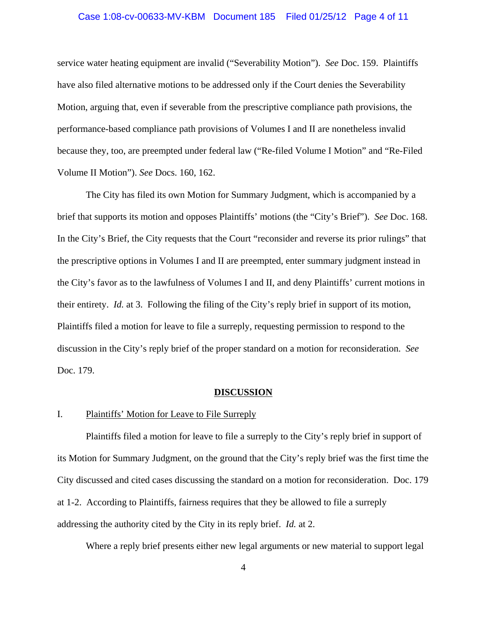### Case 1:08-cv-00633-MV-KBM Document 185 Filed 01/25/12 Page 4 of 11

service water heating equipment are invalid ("Severability Motion"). *See* Doc. 159. Plaintiffs have also filed alternative motions to be addressed only if the Court denies the Severability Motion, arguing that, even if severable from the prescriptive compliance path provisions, the performance-based compliance path provisions of Volumes I and II are nonetheless invalid because they, too, are preempted under federal law ("Re-filed Volume I Motion" and "Re-Filed Volume II Motion"). *See* Docs. 160, 162.

The City has filed its own Motion for Summary Judgment, which is accompanied by a brief that supports its motion and opposes Plaintiffs' motions (the "City's Brief"). *See* Doc. 168. In the City's Brief, the City requests that the Court "reconsider and reverse its prior rulings" that the prescriptive options in Volumes I and II are preempted, enter summary judgment instead in the City's favor as to the lawfulness of Volumes I and II, and deny Plaintiffs' current motions in their entirety. *Id.* at 3. Following the filing of the City's reply brief in support of its motion, Plaintiffs filed a motion for leave to file a surreply, requesting permission to respond to the discussion in the City's reply brief of the proper standard on a motion for reconsideration. *See* Doc. 179.

#### **DISCUSSION**

#### I. Plaintiffs' Motion for Leave to File Surreply

Plaintiffs filed a motion for leave to file a surreply to the City's reply brief in support of its Motion for Summary Judgment, on the ground that the City's reply brief was the first time the City discussed and cited cases discussing the standard on a motion for reconsideration. Doc. 179 at 1-2. According to Plaintiffs, fairness requires that they be allowed to file a surreply addressing the authority cited by the City in its reply brief. *Id.* at 2.

Where a reply brief presents either new legal arguments or new material to support legal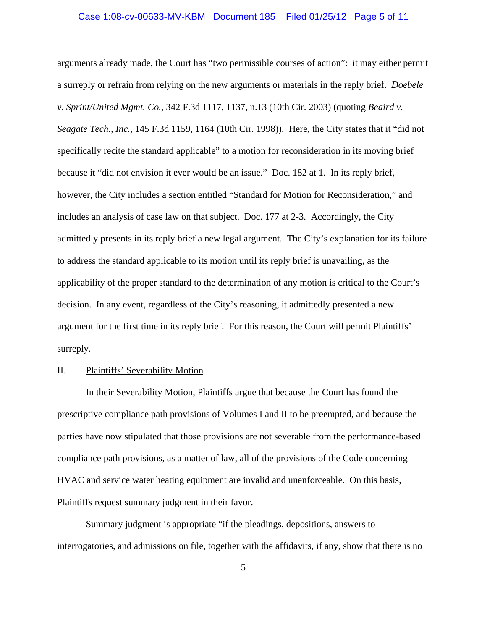### Case 1:08-cv-00633-MV-KBM Document 185 Filed 01/25/12 Page 5 of 11

arguments already made, the Court has "two permissible courses of action": it may either permit a surreply or refrain from relying on the new arguments or materials in the reply brief. *Doebele v. Sprint/United Mgmt. Co.*, 342 F.3d 1117, 1137, n.13 (10th Cir. 2003) (quoting *Beaird v. Seagate Tech., Inc.*, 145 F.3d 1159, 1164 (10th Cir. 1998)). Here, the City states that it "did not specifically recite the standard applicable" to a motion for reconsideration in its moving brief because it "did not envision it ever would be an issue." Doc. 182 at 1. In its reply brief, however, the City includes a section entitled "Standard for Motion for Reconsideration," and includes an analysis of case law on that subject. Doc. 177 at 2-3. Accordingly, the City admittedly presents in its reply brief a new legal argument. The City's explanation for its failure to address the standard applicable to its motion until its reply brief is unavailing, as the applicability of the proper standard to the determination of any motion is critical to the Court's decision. In any event, regardless of the City's reasoning, it admittedly presented a new argument for the first time in its reply brief. For this reason, the Court will permit Plaintiffs' surreply.

# II. Plaintiffs' Severability Motion

In their Severability Motion, Plaintiffs argue that because the Court has found the prescriptive compliance path provisions of Volumes I and II to be preempted, and because the parties have now stipulated that those provisions are not severable from the performance-based compliance path provisions, as a matter of law, all of the provisions of the Code concerning HVAC and service water heating equipment are invalid and unenforceable. On this basis, Plaintiffs request summary judgment in their favor.

Summary judgment is appropriate "if the pleadings, depositions, answers to interrogatories, and admissions on file, together with the affidavits, if any, show that there is no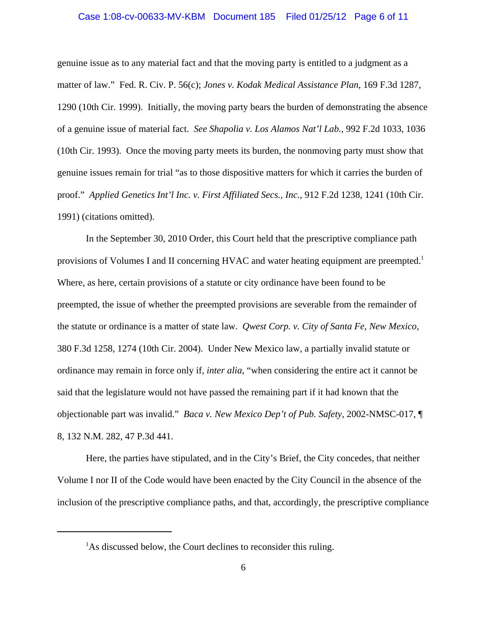### Case 1:08-cv-00633-MV-KBM Document 185 Filed 01/25/12 Page 6 of 11

genuine issue as to any material fact and that the moving party is entitled to a judgment as a matter of law." Fed. R. Civ. P. 56(c); *Jones v. Kodak Medical Assistance Plan*, 169 F.3d 1287, 1290 (10th Cir. 1999). Initially, the moving party bears the burden of demonstrating the absence of a genuine issue of material fact. *See Shapolia v. Los Alamos Nat'l Lab.*, 992 F.2d 1033, 1036 (10th Cir. 1993). Once the moving party meets its burden, the nonmoving party must show that genuine issues remain for trial "as to those dispositive matters for which it carries the burden of proof." *Applied Genetics Int'l Inc. v. First Affiliated Secs., Inc.*, 912 F.2d 1238, 1241 (10th Cir. 1991) (citations omitted).

In the September 30, 2010 Order, this Court held that the prescriptive compliance path provisions of Volumes I and II concerning HVAC and water heating equipment are preempted.<sup>1</sup> Where, as here, certain provisions of a statute or city ordinance have been found to be preempted, the issue of whether the preempted provisions are severable from the remainder of the statute or ordinance is a matter of state law. *Qwest Corp. v. City of Santa Fe, New Mexico*, 380 F.3d 1258, 1274 (10th Cir. 2004). Under New Mexico law, a partially invalid statute or ordinance may remain in force only if, *inter alia*, "when considering the entire act it cannot be said that the legislature would not have passed the remaining part if it had known that the objectionable part was invalid." *Baca v. New Mexico Dep't of Pub. Safety*, 2002-NMSC-017, ¶ 8, 132 N.M. 282, 47 P.3d 441.

Here, the parties have stipulated, and in the City's Brief, the City concedes, that neither Volume I nor II of the Code would have been enacted by the City Council in the absence of the inclusion of the prescriptive compliance paths, and that, accordingly, the prescriptive compliance

<sup>&</sup>lt;sup>1</sup>As discussed below, the Court declines to reconsider this ruling.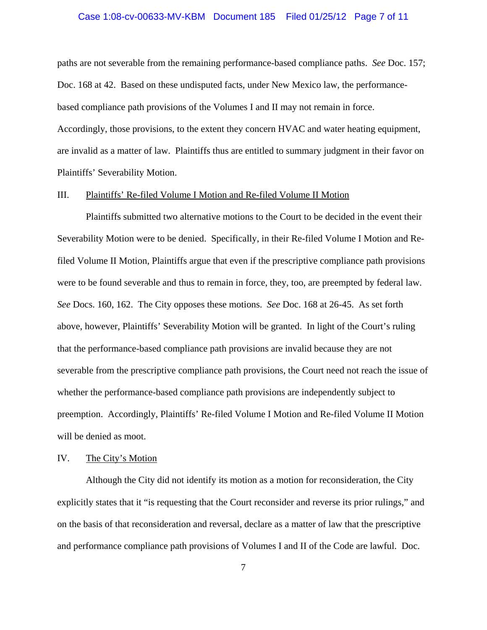### Case 1:08-cv-00633-MV-KBM Document 185 Filed 01/25/12 Page 7 of 11

paths are not severable from the remaining performance-based compliance paths. *See* Doc. 157; Doc. 168 at 42. Based on these undisputed facts, under New Mexico law, the performancebased compliance path provisions of the Volumes I and II may not remain in force. Accordingly, those provisions, to the extent they concern HVAC and water heating equipment, are invalid as a matter of law. Plaintiffs thus are entitled to summary judgment in their favor on Plaintiffs' Severability Motion.

### III. Plaintiffs' Re-filed Volume I Motion and Re-filed Volume II Motion

Plaintiffs submitted two alternative motions to the Court to be decided in the event their Severability Motion were to be denied. Specifically, in their Re-filed Volume I Motion and Refiled Volume II Motion, Plaintiffs argue that even if the prescriptive compliance path provisions were to be found severable and thus to remain in force, they, too, are preempted by federal law. *See* Docs. 160, 162. The City opposes these motions. *See* Doc. 168 at 26-45. As set forth above, however, Plaintiffs' Severability Motion will be granted. In light of the Court's ruling that the performance-based compliance path provisions are invalid because they are not severable from the prescriptive compliance path provisions, the Court need not reach the issue of whether the performance-based compliance path provisions are independently subject to preemption. Accordingly, Plaintiffs' Re-filed Volume I Motion and Re-filed Volume II Motion will be denied as moot.

#### IV. The City's Motion

Although the City did not identify its motion as a motion for reconsideration, the City explicitly states that it "is requesting that the Court reconsider and reverse its prior rulings," and on the basis of that reconsideration and reversal, declare as a matter of law that the prescriptive and performance compliance path provisions of Volumes I and II of the Code are lawful. Doc.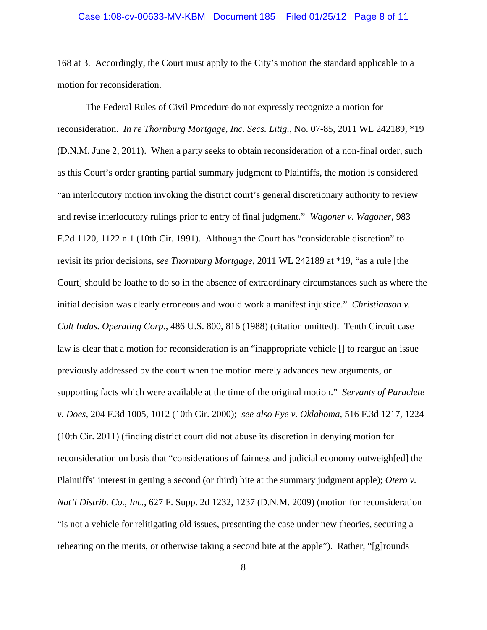### Case 1:08-cv-00633-MV-KBM Document 185 Filed 01/25/12 Page 8 of 11

168 at 3. Accordingly, the Court must apply to the City's motion the standard applicable to a motion for reconsideration.

The Federal Rules of Civil Procedure do not expressly recognize a motion for reconsideration. *In re Thornburg Mortgage, Inc. Secs. Litig.*, No. 07-85, 2011 WL 242189, \*19 (D.N.M. June 2, 2011). When a party seeks to obtain reconsideration of a non-final order, such as this Court's order granting partial summary judgment to Plaintiffs, the motion is considered "an interlocutory motion invoking the district court's general discretionary authority to review and revise interlocutory rulings prior to entry of final judgment." *Wagoner v. Wagoner*, 983 F.2d 1120, 1122 n.1 (10th Cir. 1991). Although the Court has "considerable discretion" to revisit its prior decisions, *see Thornburg Mortgage*, 2011 WL 242189 at \*19, "as a rule [the Court] should be loathe to do so in the absence of extraordinary circumstances such as where the initial decision was clearly erroneous and would work a manifest injustice." *Christianson v. Colt Indus. Operating Corp.*, 486 U.S. 800, 816 (1988) (citation omitted). Tenth Circuit case law is clear that a motion for reconsideration is an "inappropriate vehicle [] to reargue an issue previously addressed by the court when the motion merely advances new arguments, or supporting facts which were available at the time of the original motion." *Servants of Paraclete v. Does*, 204 F.3d 1005, 1012 (10th Cir. 2000); *see also Fye v. Oklahoma*, 516 F.3d 1217, 1224 (10th Cir. 2011) (finding district court did not abuse its discretion in denying motion for reconsideration on basis that "considerations of fairness and judicial economy outweigh[ed] the Plaintiffs' interest in getting a second (or third) bite at the summary judgment apple); *Otero v. Nat'l Distrib. Co., Inc.*, 627 F. Supp. 2d 1232, 1237 (D.N.M. 2009) (motion for reconsideration "is not a vehicle for relitigating old issues, presenting the case under new theories, securing a rehearing on the merits, or otherwise taking a second bite at the apple"). Rather, "[g]rounds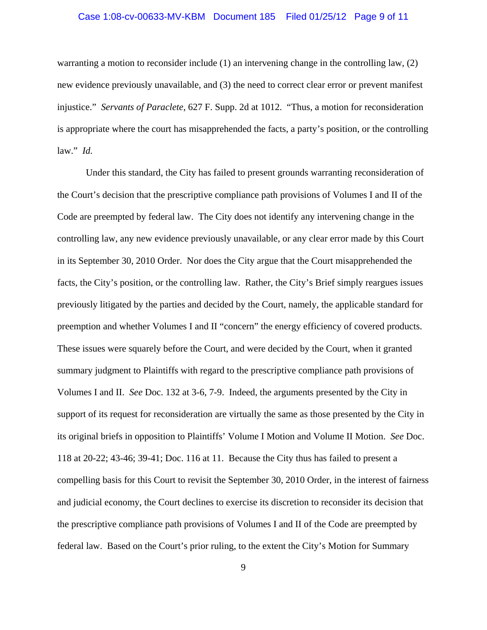### Case 1:08-cv-00633-MV-KBM Document 185 Filed 01/25/12 Page 9 of 11

warranting a motion to reconsider include (1) an intervening change in the controlling law, (2) new evidence previously unavailable, and (3) the need to correct clear error or prevent manifest injustice." *Servants of Paraclete*, 627 F. Supp. 2d at 1012. "Thus, a motion for reconsideration is appropriate where the court has misapprehended the facts, a party's position, or the controlling law." *Id.*

Under this standard, the City has failed to present grounds warranting reconsideration of the Court's decision that the prescriptive compliance path provisions of Volumes I and II of the Code are preempted by federal law. The City does not identify any intervening change in the controlling law, any new evidence previously unavailable, or any clear error made by this Court in its September 30, 2010 Order. Nor does the City argue that the Court misapprehended the facts, the City's position, or the controlling law. Rather, the City's Brief simply reargues issues previously litigated by the parties and decided by the Court, namely, the applicable standard for preemption and whether Volumes I and II "concern" the energy efficiency of covered products. These issues were squarely before the Court, and were decided by the Court, when it granted summary judgment to Plaintiffs with regard to the prescriptive compliance path provisions of Volumes I and II. *See* Doc. 132 at 3-6, 7-9. Indeed, the arguments presented by the City in support of its request for reconsideration are virtually the same as those presented by the City in its original briefs in opposition to Plaintiffs' Volume I Motion and Volume II Motion. *See* Doc. 118 at 20-22; 43-46; 39-41; Doc. 116 at 11. Because the City thus has failed to present a compelling basis for this Court to revisit the September 30, 2010 Order, in the interest of fairness and judicial economy, the Court declines to exercise its discretion to reconsider its decision that the prescriptive compliance path provisions of Volumes I and II of the Code are preempted by federal law. Based on the Court's prior ruling, to the extent the City's Motion for Summary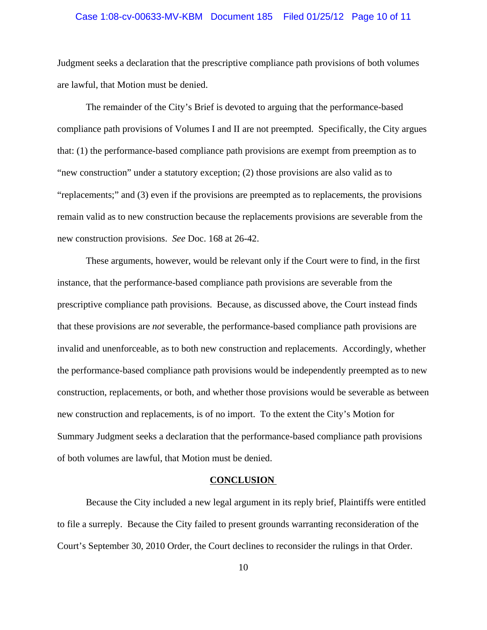### Case 1:08-cv-00633-MV-KBM Document 185 Filed 01/25/12 Page 10 of 11

Judgment seeks a declaration that the prescriptive compliance path provisions of both volumes are lawful, that Motion must be denied.

The remainder of the City's Brief is devoted to arguing that the performance-based compliance path provisions of Volumes I and II are not preempted. Specifically, the City argues that: (1) the performance-based compliance path provisions are exempt from preemption as to "new construction" under a statutory exception; (2) those provisions are also valid as to "replacements;" and (3) even if the provisions are preempted as to replacements, the provisions remain valid as to new construction because the replacements provisions are severable from the new construction provisions. *See* Doc. 168 at 26-42.

These arguments, however, would be relevant only if the Court were to find, in the first instance, that the performance-based compliance path provisions are severable from the prescriptive compliance path provisions. Because, as discussed above, the Court instead finds that these provisions are *not* severable, the performance-based compliance path provisions are invalid and unenforceable, as to both new construction and replacements. Accordingly, whether the performance-based compliance path provisions would be independently preempted as to new construction, replacements, or both, and whether those provisions would be severable as between new construction and replacements, is of no import. To the extent the City's Motion for Summary Judgment seeks a declaration that the performance-based compliance path provisions of both volumes are lawful, that Motion must be denied.

#### **CONCLUSION**

Because the City included a new legal argument in its reply brief, Plaintiffs were entitled to file a surreply. Because the City failed to present grounds warranting reconsideration of the Court's September 30, 2010 Order, the Court declines to reconsider the rulings in that Order.